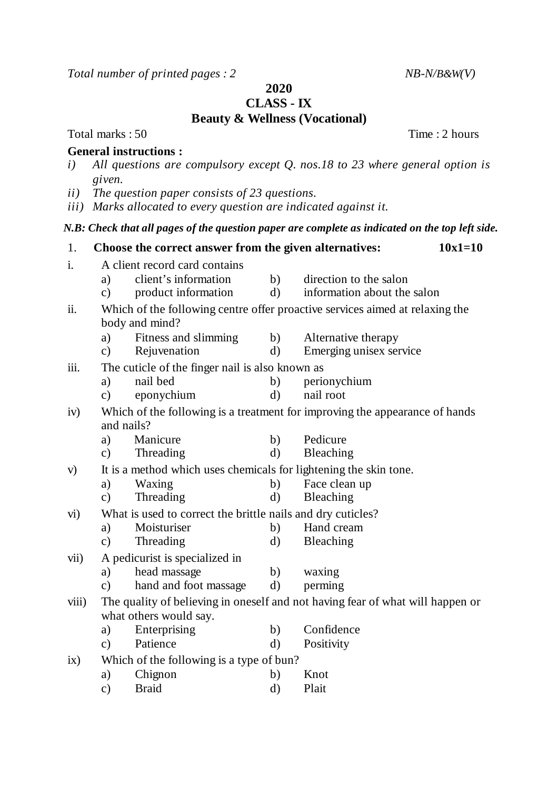*Total number of printed pages : 2 NB-N/B&W(V)*

**2020**

**CLASS - IX**

## **Beauty & Wellness (Vocational)**

Total marks : 50 Time : 2 hours

## **General instructions :**

- *i) All questions are compulsory except Q. nos.18 to 23 where general option is given.*
- *ii) The question paper consists of 23 questions.*
- *iii) Marks allocated to every question are indicated against it.*

## *N.B: Check that all pages of the question paper are complete as indicated on the top left side.*

| 1.    |                                                                              | $10x1=10$<br>Choose the correct answer from the given alternatives:            |              |                             |  |  |  |  |
|-------|------------------------------------------------------------------------------|--------------------------------------------------------------------------------|--------------|-----------------------------|--|--|--|--|
| i.    | A client record card contains                                                |                                                                                |              |                             |  |  |  |  |
|       | a)                                                                           | client's information                                                           | b)           | direction to the salon      |  |  |  |  |
|       | $\mathbf{c})$                                                                | product information                                                            | $\mathbf{d}$ | information about the salon |  |  |  |  |
| ii.   | Which of the following centre offer proactive services aimed at relaxing the |                                                                                |              |                             |  |  |  |  |
|       |                                                                              | body and mind?                                                                 |              |                             |  |  |  |  |
|       | a)                                                                           | Fitness and slimming                                                           | b)           | Alternative therapy         |  |  |  |  |
|       | $\mathbf{c})$                                                                | Rejuvenation                                                                   | $\rm d)$     | Emerging unisex service     |  |  |  |  |
| iii.  |                                                                              | The cuticle of the finger nail is also known as                                |              |                             |  |  |  |  |
|       | a)                                                                           | nail bed                                                                       | b)           | perionychium                |  |  |  |  |
|       | $\mathbf{c})$                                                                | eponychium                                                                     | $\mathbf{d}$ | nail root                   |  |  |  |  |
| iv)   | Which of the following is a treatment for improving the appearance of hands  |                                                                                |              |                             |  |  |  |  |
|       | and nails?                                                                   |                                                                                |              |                             |  |  |  |  |
|       | a)                                                                           | Manicure                                                                       | b)           | Pedicure                    |  |  |  |  |
|       | $\mathbf{c})$                                                                | Threading                                                                      | $\rm d)$     | Bleaching                   |  |  |  |  |
| V)    |                                                                              | It is a method which uses chemicals for lightening the skin tone.              |              |                             |  |  |  |  |
|       | a)                                                                           | Waxing                                                                         | b)           | Face clean up               |  |  |  |  |
|       | $\mathbf{c})$                                                                | Threading                                                                      | $\rm d)$     | Bleaching                   |  |  |  |  |
| vi)   | What is used to correct the brittle nails and dry cuticles?                  |                                                                                |              |                             |  |  |  |  |
|       | a)                                                                           | Moisturiser                                                                    | b)           | Hand cream                  |  |  |  |  |
|       | $\mathbf{c})$                                                                | Threading                                                                      | $\mathbf{d}$ | Bleaching                   |  |  |  |  |
| vii)  | A pedicurist is specialized in                                               |                                                                                |              |                             |  |  |  |  |
|       | a)                                                                           | head massage                                                                   | b)           | waxing                      |  |  |  |  |
|       | $\mathbf{c})$                                                                | hand and foot massage                                                          | $\mathbf{d}$ | perming                     |  |  |  |  |
| viii) |                                                                              | The quality of believing in oneself and not having fear of what will happen or |              |                             |  |  |  |  |
|       |                                                                              | what others would say.                                                         |              |                             |  |  |  |  |
|       | a)                                                                           | Enterprising                                                                   | b)           | Confidence                  |  |  |  |  |
|       | $\mathbf{c})$                                                                | Patience                                                                       | $\mathrm{d}$ | Positivity                  |  |  |  |  |
| ix)   | Which of the following is a type of bun?                                     |                                                                                |              |                             |  |  |  |  |
|       | a)                                                                           | Chignon                                                                        | b)           | Knot                        |  |  |  |  |
|       | $\mathbf{c})$                                                                | <b>Braid</b>                                                                   | $\rm d)$     | Plait                       |  |  |  |  |
|       |                                                                              |                                                                                |              |                             |  |  |  |  |